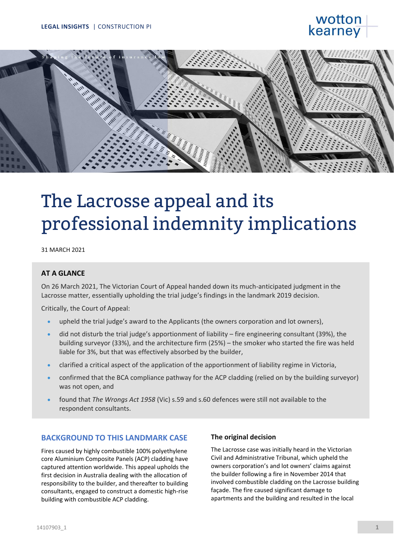# wottor kearney



# The Lacrosse appeal and its professional indemnity implications

31 MARCH 2021

## **AT A GLANCE**

On 26 March 2021, The Victorian Court of Appeal handed down its much-anticipated judgment in the Lacrosse matter, essentially upholding the trial judge's findings in the landmark 2019 decision.

Critically, the Court of Appeal:

- upheld the trial judge's award to the Applicants (the owners corporation and lot owners),
- did not disturb the trial judge's apportionment of liability fire engineering consultant (39%), the building surveyor (33%), and the architecture firm (25%) – the smoker who started the fire was held liable for 3%, but that was effectively absorbed by the builder,
- clarified a critical aspect of the application of the apportionment of liability regime in Victoria,
- confirmed that the BCA compliance pathway for the ACP cladding (relied on by the building surveyor) was not open, and
- found that *The Wrongs Act 1958* (Vic) s.59 and s.60 defences were still not available to the respondent consultants.

## **BACKGROUND TO THIS LANDMARK CASE**

Fires caused by highly combustible 100% polyethylene core Aluminium Composite Panels (ACP) cladding have captured attention worldwide. This appeal upholds the first decision in Australia dealing with the allocation of responsibility to the builder, and thereafter to building consultants, engaged to construct a domestic high-rise building with combustible ACP cladding.

#### **The original decision**

The Lacrosse case was initially heard in the Victorian Civil and Administrative Tribunal, which upheld the owners corporation's and lot owners' claims against the builder following a fire in November 2014 that involved combustible cladding on the Lacrosse building façade. The fire caused significant damage to apartments and the building and resulted in the local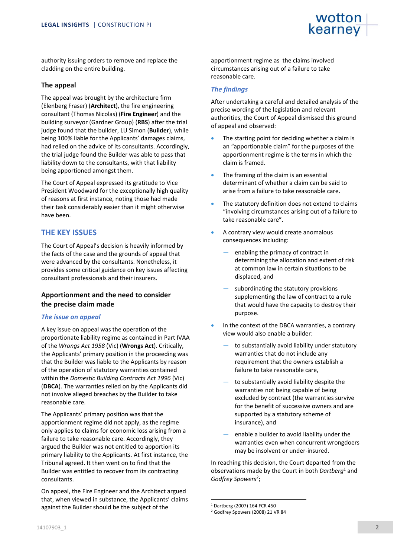authority issuing orders to remove and replace the cladding on the entire building.

#### **The appeal**

The appeal was brought by the architecture firm (Elenberg Fraser) (**Architect**), the fire engineering consultant (Thomas Nicolas) (**Fire Engineer**) and the building surveyor (Gardner Group) (**RBS**) after the trial judge found that the builder, LU Simon (**Builder**), while being 100% liable for the Applicants' damages claims, had relied on the advice of its consultants. Accordingly, the trial judge found the Builder was able to pass that liability down to the consultants, with that liability being apportioned amongst them.

The Court of Appeal expressed its gratitude to Vice President Woodward for the exceptionally high quality of reasons at first instance, noting those had made their task considerably easier than it might otherwise have been.

## **THE KEY ISSUES**

The Court of Appeal's decision is heavily informed by the facts of the case and the grounds of appeal that were advanced by the consultants. Nonetheless, it provides some critical guidance on key issues affecting consultant professionals and their insurers.

## **Apportionment and the need to consider the precise claim made**

#### *The issue on appeal*

A key issue on appeal was the operation of the proportionate liability regime as contained in Part IVAA of the *Wrongs Act 1958* (Vic) (**Wrongs Act**). Critically, the Applicants' primary position in the proceeding was that the Builder was liable to the Applicants by reason of the operation of statutory warranties contained within the *Domestic Building Contracts Act 1996* (Vic) (**DBCA**). The warranties relied on by the Applicants did not involve alleged breaches by the Builder to take reasonable care.

The Applicants' primary position was that the apportionment regime did not apply, as the regime only applies to claims for economic loss arising from a failure to take reasonable care. Accordingly, they argued the Builder was not entitled to apportion its primary liability to the Applicants. At first instance, the Tribunal agreed. It then went on to find that the Builder was entitled to recover from its contracting consultants.

On appeal, the Fire Engineer and the Architect argued that, when viewed in substance, the Applicants' claims against the Builder should be the subject of the

apportionment regime as the claims involved circumstances arising out of a failure to take reasonable care.

#### *The findings*

After undertaking a careful and detailed analysis of the precise wording of the legislation and relevant authorities, the Court of Appeal dismissed this ground of appeal and observed:

- The starting point for deciding whether a claim is an "apportionable claim" for the purposes of the apportionment regime is the terms in which the claim is framed.
- The framing of the claim is an essential determinant of whether a claim can be said to arise from a failure to take reasonable care.
- The statutory definition does not extend to claims "involving circumstances arising out of a failure to take reasonable care".
- A contrary view would create anomalous consequences including:
	- enabling the primacy of contract in determining the allocation and extent of risk at common law in certain situations to be displaced, and
	- subordinating the statutory provisions supplementing the law of contract to a rule that would have the capacity to destroy their purpose.
- In the context of the DBCA warranties, a contrary view would also enable a builder:
	- to substantially avoid liability under statutory warranties that do not include any requirement that the owners establish a failure to take reasonable care,
	- to substantially avoid liability despite the warranties not being capable of being excluded by contract (the warranties survive for the benefit of successive owners and are supported by a statutory scheme of insurance), and
	- enable a builder to avoid liability under the warranties even when concurrent wrongdoers may be insolvent or under-insured.

In reaching this decision, the Court departed from the observations made by the Court in both *Dartberg*<sup>1</sup> and *Godfrey Spowers 2* ;

<sup>1</sup> Dartberg (2007) 164 FCR 450

<sup>2</sup> Godfrey Spowers (2008) 21 VR 84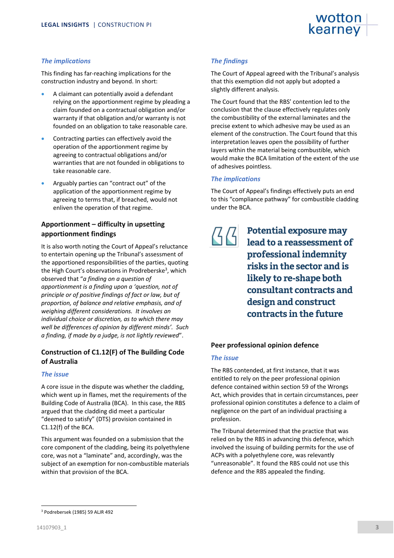#### *The implications*

This finding has far-reaching implications for the construction industry and beyond. In short:

- A claimant can potentially avoid a defendant relying on the apportionment regime by pleading a claim founded on a contractual obligation and/or warranty if that obligation and/or warranty is not founded on an obligation to take reasonable care.
- Contracting parties can effectively avoid the operation of the apportionment regime by agreeing to contractual obligations and/or warranties that are not founded in obligations to take reasonable care.
- Arguably parties can "contract out" of the application of the apportionment regime by agreeing to terms that, if breached, would not enliven the operation of that regime.

## **Apportionment – difficulty in upsetting apportionment findings**

It is also worth noting the Court of Appeal's reluctance to entertain opening up the Tribunal's assessment of the apportioned responsibilities of the parties, quoting the High Court's observations in Prodreberske<sup>3</sup>, which observed that "*a finding on a question of apportionment is a finding upon a 'question, not of principle or of positive findings of fact or law, but of proportion, of balance and relative emphasis, and of weighing different considerations. It involves an individual choice or discretion, as to which there may well be differences of opinion by different minds'. Such a finding, if made by a judge, is not lightly reviewed*".

## **Construction of C1.12(F) of The Building Code of Australia**

#### *The issue*

A core issue in the dispute was whether the cladding, which went up in flames, met the requirements of the Building Code of Australia (BCA). In this case, the RBS argued that the cladding did meet a particular "deemed to satisfy" (DTS) provision contained in C1.12(f) of the BCA.

This argument was founded on a submission that the core component of the cladding, being its polyethylene core, was not a "laminate" and, accordingly, was the subject of an exemption for non-combustible materials within that provision of the BCA.

## *The findings*

The Court of Appeal agreed with the Tribunal's analysis that this exemption did not apply but adopted a slightly different analysis.

The Court found that the RBS' contention led to the conclusion that the clause effectively regulates only the combustibility of the external laminates and the precise extent to which adhesive may be used as an element of the construction. The Court found that this interpretation leaves open the possibility of further layers within the material being combustible, which would make the BCA limitation of the extent of the use of adhesives pointless.

#### *The implications*

The Court of Appeal's findings effectively puts an end to this "compliance pathway" for combustible cladding under the BCA.

## **Potential exposure may**   $\mathcal{B}(\mathcal{C})$ **lead to a reassessment of professional indemnity risks in the sector and is likely to re-shape both consultant contracts and design and construct contracts in the future**

#### **Peer professional opinion defence**

#### *The issue*

The RBS contended, at first instance, that it was entitled to rely on the peer professional opinion defence contained within section 59 of the Wrongs Act, which provides that in certain circumstances, peer professional opinion constitutes a defence to a claim of negligence on the part of an individual practising a profession.

The Tribunal determined that the practice that was relied on by the RBS in advancing this defence, which involved the issuing of building permits for the use of ACPs with a polyethylene core, was relevantly "unreasonable". It found the RBS could not use this defence and the RBS appealed the finding.

<sup>3</sup> Podrebersek (1985) 59 ALJR 492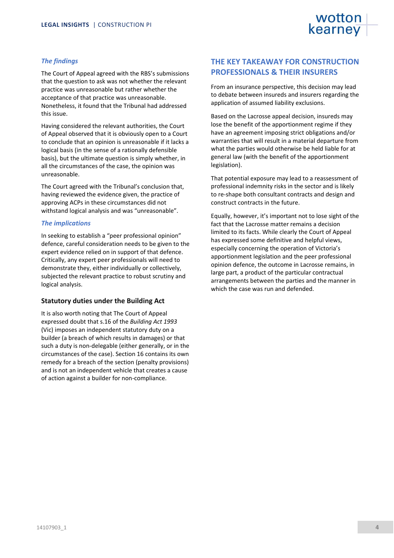#### *The findings*

The Court of Appeal agreed with the RBS's submissions that the question to ask was not whether the relevant practice was unreasonable but rather whether the acceptance of that practice was unreasonable. Nonetheless, it found that the Tribunal had addressed this issue.

Having considered the relevant authorities, the Court of Appeal observed that it is obviously open to a Court to conclude that an opinion is unreasonable if it lacks a logical basis (in the sense of a rationally defensible basis), but the ultimate question is simply whether, in all the circumstances of the case, the opinion was unreasonable.

The Court agreed with the Tribunal's conclusion that, having reviewed the evidence given, the practice of approving ACPs in these circumstances did not withstand logical analysis and was "unreasonable".

#### *The implications*

In seeking to establish a "peer professional opinion" defence, careful consideration needs to be given to the expert evidence relied on in support of that defence. Critically, any expert peer professionals will need to demonstrate they, either individually or collectively, subjected the relevant practice to robust scrutiny and logical analysis.

#### **Statutory duties under the Building Act**

It is also worth noting that The Court of Appeal expressed doubt that s.16 of the *Building Act 1993* (Vic) imposes an independent statutory duty on a builder (a breach of which results in damages) or that such a duty is non-delegable (either generally, or in the circumstances of the case). Section 16 contains its own remedy for a breach of the section (penalty provisions) and is not an independent vehicle that creates a cause of action against a builder for non-compliance.

## **THE KEY TAKEAWAY FOR CONSTRUCTION PROFESSIONALS & THEIR INSURERS**

From an insurance perspective, this decision may lead to debate between insureds and insurers regarding the application of assumed liability exclusions.

Based on the Lacrosse appeal decision, insureds may lose the benefit of the apportionment regime if they have an agreement imposing strict obligations and/or warranties that will result in a material departure from what the parties would otherwise be held liable for at general law (with the benefit of the apportionment legislation).

That potential exposure may lead to a reassessment of professional indemnity risks in the sector and is likely to re-shape both consultant contracts and design and construct contracts in the future.

Equally, however, it's important not to lose sight of the fact that the Lacrosse matter remains a decision limited to its facts. While clearly the Court of Appeal has expressed some definitive and helpful views, especially concerning the operation of Victoria's apportionment legislation and the peer professional opinion defence, the outcome in Lacrosse remains, in large part, a product of the particular contractual arrangements between the parties and the manner in which the case was run and defended.